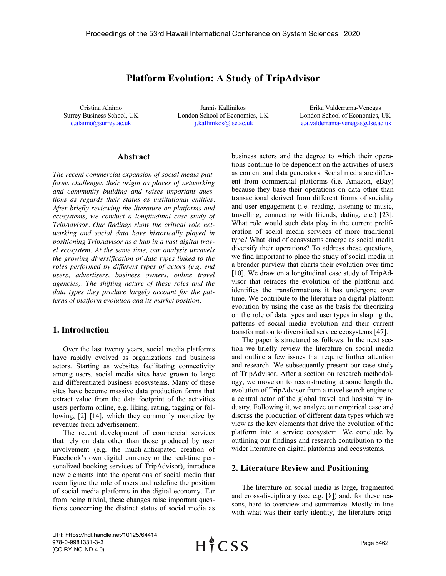# **Platform Evolution: A Study of TripAdvisor**

Cristina Alaimo Surrey Business School, UK c.alaimo@surrey.ac.uk

Jannis Kallinikos London School of Economics, UK j.kallinikos@lse.ac.uk

Erika Valderrama-Venegas London School of Economics, UK e.a.valderrama-venegas@lse.ac.uk

### **Abstract**

*The recent commercial expansion of social media platforms challenges their origin as places of networking and community building and raises important questions as regards their status as institutional entities. After briefly reviewing the literature on platforms and ecosystems, we conduct a longitudinal case study of TripAdvisor. Our findings show the critical role networking and social data have historically played in positioning TripAdvisor as a hub in a vast digital travel ecosystem. At the same time, our analysis unravels the growing diversification of data types linked to the roles performed by different types of actors (e.g. end users, advertisers, business owners, online travel agencies). The shifting nature of these roles and the data types they produce largely account for the patterns of platform evolution and its market position.*

### **1. Introduction**

Over the last twenty years, social media platforms have rapidly evolved as organizations and business actors. Starting as websites facilitating connectivity among users, social media sites have grown to large and differentiated business ecosystems. Many of these sites have become massive data production farms that extract value from the data footprint of the activities users perform online, e.g. liking, rating, tagging or following, [2] [14], which they commonly monetize by revenues from advertisement.

The recent development of commercial services that rely on data other than those produced by user involvement (e.g. the much-anticipated creation of Facebook's own digital currency or the real-time personalized booking services of TripAdvisor), introduce new elements into the operations of social media that reconfigure the role of users and redefine the position of social media platforms in the digital economy. Far from being trivial, these changes raise important questions concerning the distinct status of social media as

business actors and the degree to which their operations continue to be dependent on the activities of users as content and data generators. Social media are different from commercial platforms (i.e. Amazon, eBay) because they base their operations on data other than transactional derived from different forms of sociality and user engagement (i.e. reading, listening to music, travelling, connecting with friends, dating, etc.) [23]. What role would such data play in the current proliferation of social media services of more traditional type? What kind of ecosystems emerge as social media diversify their operations? To address these questions, we find important to place the study of social media in a broader purview that charts their evolution over time [10]. We draw on a longitudinal case study of TripAdvisor that retraces the evolution of the platform and identifies the transformations it has undergone over time. We contribute to the literature on digital platform evolution by using the case as the basis for theorizing on the role of data types and user types in shaping the patterns of social media evolution and their current transformation to diversified service ecosystems [47].

The paper is structured as follows. In the next section we briefly review the literature on social media and outline a few issues that require further attention and research. We subsequently present our case study of TripAdvisor. After a section on research methodology, we move on to reconstructing at some length the evolution of TripAdvisor from a travel search engine to a central actor of the global travel and hospitality industry. Following it, we analyze our empirical case and discuss the production of different data types which we view as the key elements that drive the evolution of the platform into a service ecosystem. We conclude by outlining our findings and research contribution to the wider literature on digital platforms and ecosystems.

### **2. Literature Review and Positioning**

The literature on social media is large, fragmented and cross-disciplinary (see e.g. [8]) and, for these reasons, hard to overview and summarize. Mostly in line with what was their early identity, the literature origi-

URI: https://hdl.handle.net/10125/64414 978-0-9981331-3-3 (CC BY-NC-ND 4.0)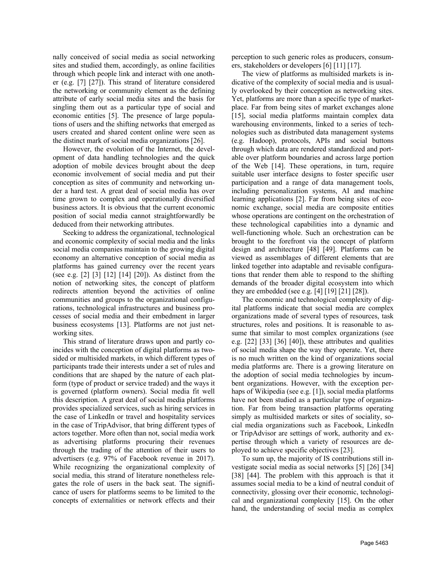nally conceived of social media as social networking sites and studied them, accordingly, as online facilities through which people link and interact with one another (e.g. [7] [27]). This strand of literature considered the networking or community element as the defining attribute of early social media sites and the basis for singling them out as a particular type of social and economic entities [5]. The presence of large populations of users and the shifting networks that emerged as users created and shared content online were seen as the distinct mark of social media organizations [26].

However, the evolution of the Internet, the development of data handling technologies and the quick adoption of mobile devices brought about the deep economic involvement of social media and put their conception as sites of community and networking under a hard test. A great deal of social media has over time grown to complex and operationally diversified business actors. It is obvious that the current economic position of social media cannot straightforwardly be deduced from their networking attributes.

Seeking to address the organizational, technological and economic complexity of social media and the links social media companies maintain to the growing digital economy an alternative conception of social media as platforms has gained currency over the recent years (see e.g. [2] [3] [12] [14] [20]). As distinct from the notion of networking sites, the concept of platform redirects attention beyond the activities of online communities and groups to the organizational configurations, technological infrastructures and business processes of social media and their embedment in larger business ecosystems [13]. Platforms are not just networking sites.

This strand of literature draws upon and partly coincides with the conception of digital platforms as twosided or multisided markets, in which different types of participants trade their interests under a set of rules and conditions that are shaped by the nature of each platform (type of product or service traded) and the ways it is governed (platform owners). Social media fit well this description. A great deal of social media platforms provides specialized services, such as hiring services in the case of LinkedIn or travel and hospitality services in the case of TripAdvisor, that bring different types of actors together. More often than not, social media work as advertising platforms procuring their revenues through the trading of the attention of their users to advertisers (e.g. 97% of Facebook revenue in 2017). While recognizing the organizational complexity of social media, this strand of literature nonetheless relegates the role of users in the back seat. The significance of users for platforms seems to be limited to the concepts of externalities or network effects and their perception to such generic roles as producers, consumers, stakeholders or developers [6] [11] [17].

The view of platforms as multisided markets is indicative of the complexity of social media and is usually overlooked by their conception as networking sites. Yet, platforms are more than a specific type of marketplace. Far from being sites of market exchanges alone [15], social media platforms maintain complex data warehousing environments, linked to a series of technologies such as distributed data management systems (e.g. Hadoop), protocols, APIs and social buttons through which data are rendered standardized and portable over platform boundaries and across large portion of the Web [14]. These operations, in turn, require suitable user interface designs to foster specific user participation and a range of data management tools, including personalization systems, AI and machine learning applications [2]. Far from being sites of economic exchange, social media are composite entities whose operations are contingent on the orchestration of these technological capabilities into a dynamic and well-functioning whole. Such an orchestration can be brought to the forefront via the concept of platform design and architecture [48] [49]. Platforms can be viewed as assemblages of different elements that are linked together into adaptable and revisable configurations that render them able to respond to the shifting demands of the broader digital ecosystem into which they are embedded (see e.g.  $[4] [19] [21] [28]$ ).

The economic and technological complexity of digital platforms indicate that social media are complex organizations made of several types of resources, task structures, roles and positions. It is reasonable to assume that similar to most complex organizations (see e.g. [22] [33] [36] [40]), these attributes and qualities of social media shape the way they operate. Yet, there is no much written on the kind of organizations social media platforms are. There is a growing literature on the adoption of social media technologies by incumbent organizations. However, with the exception perhaps of Wikipedia (see e.g. [1]), social media platforms have not been studied as a particular type of organization. Far from being transaction platforms operating simply as multisided markets or sites of sociality, social media organizations such as Facebook, LinkedIn or TripAdvisor are settings of work, authority and expertise through which a variety of resources are deployed to achieve specific objectives [23].

To sum up, the majority of IS contributions still investigate social media as social networks [5] [26] [34] [38] [44]. The problem with this approach is that it assumes social media to be a kind of neutral conduit of connectivity, glossing over their economic, technological and organizational complexity [15]. On the other hand, the understanding of social media as complex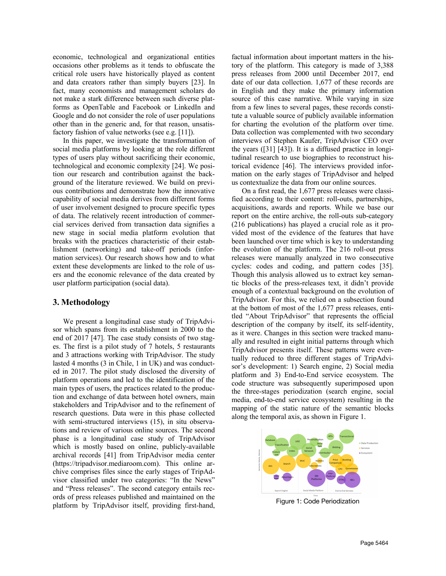economic, technological and organizational entities occasions other problems as it tends to obfuscate the critical role users have historically played as content and data creators rather than simply buyers [23]. In fact, many economists and management scholars do not make a stark difference between such diverse platforms as OpenTable and Facebook or LinkedIn and Google and do not consider the role of user populations other than in the generic and, for that reason, unsatisfactory fashion of value networks (see e.g. [11]).

In this paper, we investigate the transformation of social media platforms by looking at the role different types of users play without sacrificing their economic, technological and economic complexity [24]. We position our research and contribution against the background of the literature reviewed. We build on previous contributions and demonstrate how the innovative capability of social media derives from different forms of user involvement designed to procure specific types of data. The relatively recent introduction of commercial services derived from transaction data signifies a new stage in social media platform evolution that breaks with the practices characteristic of their establishment (networking) and take-off periods (information services). Our research shows how and to what extent these developments are linked to the role of users and the economic relevance of the data created by user platform participation (social data).

## **3. Methodology**

We present a longitudinal case study of TripAdvisor which spans from its establishment in 2000 to the end of 2017 [47]. The case study consists of two stages. The first is a pilot study of 7 hotels, 5 restaurants and 3 attractions working with TripAdvisor. The study lasted 4 months (3 in Chile, 1 in UK) and was conducted in 2017. The pilot study disclosed the diversity of platform operations and led to the identification of the main types of users, the practices related to the production and exchange of data between hotel owners, main stakeholders and TripAdvisor and to the refinement of research questions. Data were in this phase collected with semi-structured interviews (15), in situ observations and review of various online sources. The second phase is a longitudinal case study of TripAdvisor which is mostly based on online, publicly-available archival records [41] from TripAdvisor media center (https://tripadvisor.mediaroom.com). This online archive comprises files since the early stages of TripAdvisor classified under two categories: "In the News" and "Press releases". The second category entails records of press releases published and maintained on the platform by TripAdvisor itself, providing first-hand,

factual information about important matters in the history of the platform. This category is made of 3,388 press releases from 2000 until December 2017, end date of our data collection. 1,677 of these records are in English and they make the primary information source of this case narrative. While varying in size from a few lines to several pages, these records constitute a valuable source of publicly available information for charting the evolution of the platform over time. Data collection was complemented with two secondary interviews of Stephen Kaufer, TripAdvisor CEO over the years ([31] [43]). It is a diffused practice in longitudinal research to use biographies to reconstruct historical evidence [46]. The interviews provided information on the early stages of TripAdvisor and helped us contextualize the data from our online sources.

On a first read, the 1,677 press releases were classified according to their content: roll-outs, partnerships, acquisitions, awards and reports. While we base our report on the entire archive, the roll-outs sub-category (216 publications) has played a crucial role as it provided most of the evidence of the features that have been launched over time which is key to understanding the evolution of the platform. The 216 roll-out press releases were manually analyzed in two consecutive cycles: codes and coding, and pattern codes [35]. Though this analysis allowed us to extract key semantic blocks of the press-releases text, it didn't provide enough of a contextual background on the evolution of TripAdvisor. For this, we relied on a subsection found at the bottom of most of the 1,677 press releases, entitled "About TripAdvisor" that represents the official description of the company by itself, its self-identity, as it were. Changes in this section were tracked manually and resulted in eight initial patterns through which TripAdvisor presents itself. These patterns were eventually reduced to three different stages of TripAdvisor's development: 1) Search engine, 2) Social media platform and 3) End-to-End service ecosystem. The code structure was subsequently superimposed upon the three-stages periodization (search engine, social media, end-to-end service ecosystem) resulting in the mapping of the static nature of the semantic blocks along the temporal axis, as shown in Figure 1.



Figure 1: Code Periodization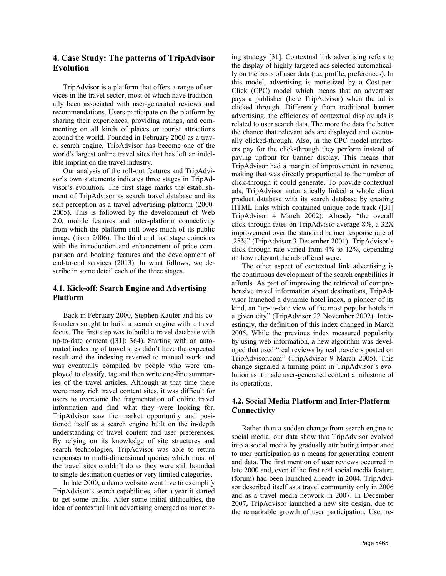# **4. Case Study: The patterns of TripAdvisor Evolution**

TripAdvisor is a platform that offers a range of services in the travel sector, most of which have traditionally been associated with user-generated reviews and recommendations. Users participate on the platform by sharing their experiences, providing ratings, and commenting on all kinds of places or tourist attractions around the world. Founded in February 2000 as a travel search engine, TripAdvisor has become one of the world's largest online travel sites that has left an indelible imprint on the travel industry.

Our analysis of the roll-out features and TripAdvisor's own statements indicates three stages in TripAdvisor's evolution. The first stage marks the establishment of TripAdvisor as search travel database and its self-perception as a travel advertising platform (2000- 2005). This is followed by the development of Web 2.0, mobile features and inter-platform connectivity from which the platform still owes much of its public image (from 2006). The third and last stage coincides with the introduction and enhancement of price comparison and booking features and the development of end-to-end services (2013). In what follows, we describe in some detail each of the three stages.

# **4.1. Kick-off: Search Engine and Advertising Platform**

Back in February 2000, Stephen Kaufer and his cofounders sought to build a search engine with a travel focus. The first step was to build a travel database with up-to-date content ([31]: 364). Starting with an automated indexing of travel sites didn't have the expected result and the indexing reverted to manual work and was eventually compiled by people who were employed to classify, tag and then write one-line summaries of the travel articles. Although at that time there were many rich travel content sites, it was difficult for users to overcome the fragmentation of online travel information and find what they were looking for. TripAdvisor saw the market opportunity and positioned itself as a search engine built on the in-depth understanding of travel content and user preferences. By relying on its knowledge of site structures and search technologies, TripAdvisor was able to return responses to multi-dimensional queries which most of the travel sites couldn't do as they were still bounded to single destination queries or very limited categories.

In late 2000, a demo website went live to exemplify TripAdvisor's search capabilities, after a year it started to get some traffic. After some initial difficulties, the idea of contextual link advertising emerged as monetiz-

ing strategy [31]. Contextual link advertising refers to the display of highly targeted ads selected automatically on the basis of user data (i.e. profile, preferences). In this model, advertising is monetized by a Cost-per-Click (CPC) model which means that an advertiser pays a publisher (here TripAdvisor) when the ad is clicked through. Differently from traditional banner advertising, the efficiency of contextual display ads is related to user search data. The more the data the better the chance that relevant ads are displayed and eventually clicked-through. Also, in the CPC model marketers pay for the click-through they perform instead of paying upfront for banner display. This means that TripAdvisor had a margin of improvement in revenue making that was directly proportional to the number of click-through it could generate. To provide contextual ads, TripAdvisor automatically linked a whole client product database with its search database by creating HTML links which contained unique code track ([31] TripAdvisor 4 March 2002). Already "the overall click-through rates on TripAdvisor average 8%, a 32X improvement over the standard banner response rate of .25%" (TripAdvisor 3 December 2001). TripAdvisor's click-through rate varied from 4% to 12%, depending on how relevant the ads offered were.

The other aspect of contextual link advertising is the continuous development of the search capabilities it affords. As part of improving the retrieval of comprehensive travel information about destinations, TripAdvisor launched a dynamic hotel index, a pioneer of its kind, an "up-to-date view of the most popular hotels in a given city" (TripAdvisor 22 November 2002). Interestingly, the definition of this index changed in March 2005. While the previous index measured popularity by using web information, a new algorithm was developed that used "real reviews by real travelers posted on TripAdvisor.com" (TripAdvisor 9 March 2005). This change signaled a turning point in TripAdvisor's evolution as it made user-generated content a milestone of its operations.

# **4.2. Social Media Platform and Inter-Platform Connectivity**

Rather than a sudden change from search engine to social media, our data show that TripAdvisor evolved into a social media by gradually attributing importance to user participation as a means for generating content and data. The first mention of user reviews occurred in late 2000 and, even if the first real social media feature (forum) had been launched already in 2004, TripAdvisor described itself as a travel community only in 2006 and as a travel media network in 2007. In December 2007, TripAdvisor launched a new site design, due to the remarkable growth of user participation. User re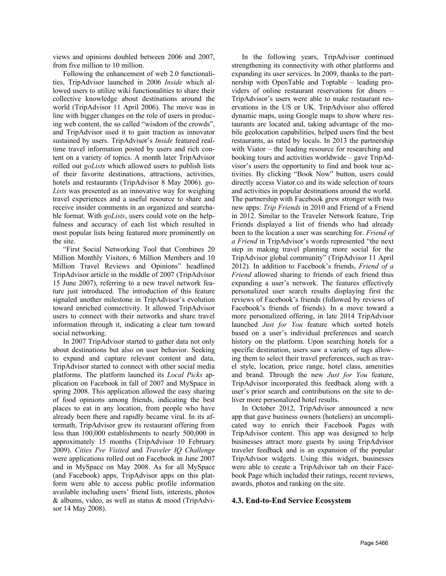views and opinions doubled between 2006 and 2007, from five million to 10 million.

Following the enhancement of web 2.0 functionalities, TripAdvisor launched in 2006 *Inside* which allowed users to utilize wiki functionalities to share their collective knowledge about destinations around the world (TripAdvisor 11 April 2006). The move was in line with bigger changes on the role of users in producing web content, the so called "wisdom of the crowds", and TripAdvisor used it to gain traction as innovator sustained by users. TripAdvisor's *Inside* featured realtime travel information posted by users and rich content on a variety of topics. A month later TripAdvisor rolled out *goLists* which allowed users to publish lists of their favorite destinations, attractions, activities, hotels and restaurants (TripAdvisor 8 May 2006). *go-Lists* was presented as an innovative way for weighing travel experiences and a useful resource to share and receive insider comments in an organized and searchable format. With *goLists*, users could vote on the helpfulness and accuracy of each list which resulted in most popular lists being featured more prominently on the site.

"First Social Networking Tool that Combines 20 Million Monthly Visitors, 6 Million Members and 10 Million Travel Reviews and Opinions" headlined TripAdvisor article in the middle of 2007 (TripAdvisor 15 June 2007), referring to a new travel network feature just introduced. The introduction of this feature signaled another milestone in TripAdvisor's evolution toward enriched connectivity. It allowed TripAdvisor users to connect with their networks and share travel information through it, indicating a clear turn toward social networking.

In 2007 TripAdvisor started to gather data not only about destinations but also on user behavior. Seeking to expand and capture relevant content and data, TripAdvisor started to connect with other social media platforms. The platform launched its *Local Picks* application on Facebook in fall of 2007 and MySpace in spring 2008. This application allowed the easy sharing of food opinions among friends, indicating the best places to eat in any location, from people who have already been there and rapidly became viral. In its aftermath, TripAdvisor grew its restaurant offering from less than 100,000 establishments to nearly 500,000 in approximately 15 months (TripAdvisor 10 February 2009). *Cities I've Visited* and *Traveler IQ Challenge* were applications rolled out on Facebook in June 2007 and in MySpace on May 2008. As for all MySpace (and Facebook) apps, TripAdvisor apps on this platform were able to access public profile information available including users' friend lists, interests, photos & albums, video, as well as status & mood (TripAdvisor 14 May 2008).

In the following years, TripAdvisor continued strengthening its connectivity with other platforms and expanding its user services. In 2009, thanks to the partnership with OpenTable and Toptable – leading providers of online restaurant reservations for diners – TripAdvisor's users were able to make restaurant reservations in the US or UK. TripAdvisor also offered dynamic maps, using Google maps to show where restaurants are located and, taking advantage of the mobile geolocation capabilities, helped users find the best restaurants, as rated by locals. In 2013 the partnership with Viator – the leading resource for researching and booking tours and activities worldwide – gave TripAdvisor's users the opportunity to find and book tour activities. By clicking "Book Now" button, users could directly access Viator.co and its wide selection of tours and activities in popular destinations around the world. The partnership with Facebook grew stronger with two new apps: *Trip Friends* in 2010 and Friend of a Friend in 2012. Similar to the Traveler Network feature, Trip Friends displayed a list of friends who had already been to the location a user was searching for. *Friend of a Friend* in TripAdvisor's words represented "the next step in making travel planning more social for the TripAdvisor global community" (TripAdvisor 11 April 2012). In addition to Facebook's friends, *Friend of a Friend* allowed sharing to friends of each friend thus expanding a user's network. The features effectively personalized user search results displaying first the reviews of Facebook's friends (followed by reviews of Facebook's friends of friends). In a move toward a more personalized offering, in late 2014 TripAdvisor launched *Just for You* feature which sorted hotels based on a user's individual preferences and search history on the platform. Upon searching hotels for a specific destination, users saw a variety of tags allowing them to select their travel preferences, such as travel style, location, price range, hotel class, amenities and brand. Through the new *Just for You* feature, TripAdvisor incorporated this feedback along with a user's prior search and contributions on the site to deliver more personalized hotel results.

In October 2012, TripAdvisor announced a new app that gave business owners (hoteliers) an uncomplicated way to enrich their Facebook Pages with TripAdvisor content. This app was designed to help businesses attract more guests by using TripAdvisor traveler feedback and is an expansion of the popular TripAdvisor widgets. Using this widget, businesses were able to create a TripAdvisor tab on their Facebook Page which included their ratings, recent reviews, awards, photos and ranking on the site.

### **4.3. End-to-End Service Ecosystem**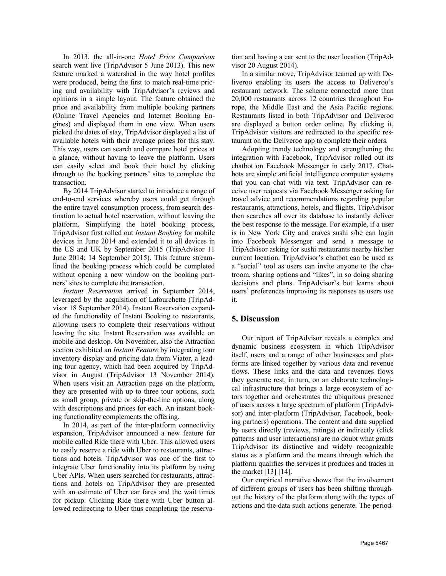In 2013, the all-in-one *Hotel Price Comparison* search went live (TripAdvisor 5 June 2013). This new feature marked a watershed in the way hotel profiles were produced, being the first to match real-time pricing and availability with TripAdvisor's reviews and opinions in a simple layout. The feature obtained the price and availability from multiple booking partners (Online Travel Agencies and Internet Booking Engines) and displayed them in one view. When users picked the dates of stay, TripAdvisor displayed a list of available hotels with their average prices for this stay. This way, users can search and compare hotel prices at a glance, without having to leave the platform. Users can easily select and book their hotel by clicking through to the booking partners' sites to complete the transaction.

By 2014 TripAdvisor started to introduce a range of end-to-end services whereby users could get through the entire travel consumption process, from search destination to actual hotel reservation, without leaving the platform. Simplifying the hotel booking process, TripAdvisor first rolled out *Instant Booking* for mobile devices in June 2014 and extended it to all devices in the US and UK by September 2015 (TripAdvisor 11 June 2014; 14 September 2015). This feature streamlined the booking process which could be completed without opening a new window on the booking partners' sites to complete the transaction.

*Instant Reservation* arrived in September 2014, leveraged by the acquisition of Lafourchette (TripAdvisor 18 September 2014). Instant Reservation expanded the functionality of Instant Booking to restaurants, allowing users to complete their reservations without leaving the site. Instant Reservation was available on mobile and desktop. On November, also the Attraction section exhibited an *Instant Feature* by integrating tour inventory display and pricing data from Viator, a leading tour agency, which had been acquired by TripAdvisor in August (TripAdvisor 13 November 2014). When users visit an Attraction page on the platform, they are presented with up to three tour options, such as small group, private or skip-the-line options, along with descriptions and prices for each. An instant booking functionality complements the offering.

In 2014, as part of the inter-platform connectivity expansion, TripAdvisor announced a new feature for mobile called Ride there with Uber. This allowed users to easily reserve a ride with Uber to restaurants, attractions and hotels. TripAdvisor was one of the first to integrate Uber functionality into its platform by using Uber APIs. When users searched for restaurants, attractions and hotels on TripAdvisor they are presented with an estimate of Uber car fares and the wait times for pickup. Clicking Ride there with Uber button allowed redirecting to Uber thus completing the reservation and having a car sent to the user location (TripAdvisor 20 August 2014).

In a similar move, TripAdvisor teamed up with Deliveroo enabling its users the access to Deliveroo's restaurant network. The scheme connected more than 20,000 restaurants across 12 countries throughout Europe, the Middle East and the Asia Pacific regions. Restaurants listed in both TripAdvisor and Deliveroo are displayed a button order online. By clicking it, TripAdvisor visitors are redirected to the specific restaurant on the Deliveroo app to complete their orders.

Adopting trendy technology and strengthening the integration with Facebook, TripAdvisor rolled out its chatbot on Facebook Messenger in early 2017. Chatbots are simple artificial intelligence computer systems that you can chat with via text. TripAdvisor can receive user requests via Facebook Messenger asking for travel advice and recommendations regarding popular restaurants, attractions, hotels, and flights. TripAdvisor then searches all over its database to instantly deliver the best response to the message. For example, if a user is in New York City and craves sushi s/he can login into Facebook Messenger and send a message to TripAdvisor asking for sushi restaurants nearby his/her current location. TripAdvisor's chatbot can be used as a "social" tool as users can invite anyone to the chatroom, sharing options and "likes", in so doing sharing decisions and plans. TripAdvisor's bot learns about users' preferences improving its responses as users use it.

## **5. Discussion**

Our report of TripAdvisor reveals a complex and dynamic business ecosystem in which TripAdvisor itself, users and a range of other businesses and platforms are linked together by various data and revenue flows. These links and the data and revenues flows they generate rest, in turn, on an elaborate technological infrastructure that brings a large ecosystem of actors together and orchestrates the ubiquitous presence of users across a large spectrum of platform (TripAdvisor) and inter-platform (TripAdvisor, Facebook, booking partners) operations. The content and data supplied by users directly (reviews, ratings) or indirectly (click patterns and user interactions) are no doubt what grants TripAdvisor its distinctive and widely recognizable status as a platform and the means through which the platform qualifies the services it produces and trades in the market [13] [14].

Our empirical narrative shows that the involvement of different groups of users has been shifting throughout the history of the platform along with the types of actions and the data such actions generate. The period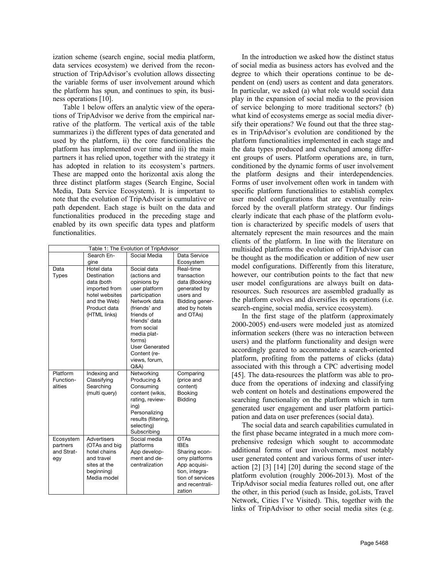ization scheme (search engine, social media platform, data services ecosystem) we derived from the reconstruction of TripAdvisor's evolution allows dissecting the variable forms of user involvement around which the platform has spun, and continues to spin, its business operations [10].

Table 1 below offers an analytic view of the operations of TripAdvisor we derive from the empirical narrative of the platform. The vertical axis of the table summarizes i) the different types of data generated and used by the platform, ii) the core functionalities the platform has implemented over time and iii) the main partners it has relied upon, together with the strategy it has adopted in relation to its ecosystem's partners. These are mapped onto the horizontal axis along the three distinct platform stages (Search Engine, Social Media, Data Service Ecosystem). It is important to note that the evolution of TripAdvisor is cumulative or path dependent. Each stage is built on the data and functionalities produced in the preceding stage and enabled by its own specific data types and platform functionalities.

| Table 1: The Evolution of TripAdvisor      |                                                                                                                            |                                                                                                                                                                                                                                                       |                                                                                                                                                 |
|--------------------------------------------|----------------------------------------------------------------------------------------------------------------------------|-------------------------------------------------------------------------------------------------------------------------------------------------------------------------------------------------------------------------------------------------------|-------------------------------------------------------------------------------------------------------------------------------------------------|
|                                            | Search En-                                                                                                                 | Social Media                                                                                                                                                                                                                                          | Data Service                                                                                                                                    |
|                                            | gine                                                                                                                       |                                                                                                                                                                                                                                                       | Ecosystem                                                                                                                                       |
| Data<br><b>Types</b>                       | Hotel data<br>Destination<br>data (both<br>imported from<br>hotel websites<br>and the Web)<br>Product data<br>(HTML links) | Social data<br>(actions and<br>opinions by<br>user platform<br>participation<br>Network data<br>(friends' and<br>friends of<br>friends' data<br>from social<br>media plat-<br>forms)<br><b>User Generated</b><br>Content (re-<br>views, forum,<br>Q&A | Real-time<br>transaction<br>data (Booking<br>generated by<br>users and<br>Bidding gener-<br>ated by hotels<br>and OTAs)                         |
| Platform<br>Function-<br>alities           | Indexing and<br>Classifying<br>Searching<br>(multi query)                                                                  | Networking<br>Producing &<br>Consuming<br>content (wikis,<br>rating, review-<br>ing)<br>Personalizing<br>results (filtering,<br>selecting)<br>Subscribing                                                                                             | Comparing<br>(price and<br>content)<br>Booking<br><b>Bidding</b>                                                                                |
| Ecosystem<br>partners<br>and Strat-<br>egy | <b>Advertisers</b><br>(OTAs and big<br>hotel chains<br>and travel<br>sites at the<br>beginning)<br>Media model             | Social media<br>platforms<br>App develop-<br>ment and de-<br>centralization                                                                                                                                                                           | <b>OTAs</b><br><b>IBEs</b><br>Sharing econ-<br>omy platforms<br>App acquisi-<br>tion, integra-<br>tion of services<br>and recentrali-<br>zation |

In the introduction we asked how the distinct status of social media as business actors has evolved and the degree to which their operations continue to be dependent on (end) users as content and data generators. In particular, we asked (a) what role would social data play in the expansion of social media to the provision of service belonging to more traditional sectors? (b) what kind of ecosystems emerge as social media diversify their operations? We found out that the three stages in TripAdvisor's evolution are conditioned by the platform functionalities implemented in each stage and the data types produced and exchanged among different groups of users. Platform operations are, in turn, conditioned by the dynamic forms of user involvement the platform designs and their interdependencies. Forms of user involvement often work in tandem with specific platform functionalities to establish complex user model configurations that are eventually reinforced by the overall platform strategy. Our findings clearly indicate that each phase of the platform evolution is characterized by specific models of users that alternately represent the main resources and the main clients of the platform. In line with the literature on multisided platforms the evolution of TripAdvisor can be thought as the modification or addition of new user model configurations. Differently from this literature, however, our contribution points to the fact that new user model configurations are always built on dataresources. Such resources are assembled gradually as the platform evolves and diversifies its operations (i.e. search-engine, social media, service ecosystem).

In the first stage of the platform (approximately 2000-2005) end-users were modeled just as atomized information seekers (there was no interaction between users) and the platform functionality and design were accordingly geared to accommodate a search-oriented platform, profiting from the patterns of clicks (data) associated with this through a CPC advertising model [45]. The data-resources the platform was able to produce from the operations of indexing and classifying web content on hotels and destinations empowered the searching functionality on the platform which in turn generated user engagement and user platform participation and data on user preferences (social data).

The social data and search capabilities cumulated in the first phase became integrated in a much more comprehensive redesign which sought to accommodate additional forms of user involvement, most notably user generated content and various forms of user interaction [2] [3] [14] [20] during the second stage of the platform evolution (roughly 2006-2013). Most of the TripAdvisor social media features rolled out, one after the other, in this period (such as Inside, goLists, Travel Network, Cities I've Visited). This, together with the links of TripAdvisor to other social media sites (e.g.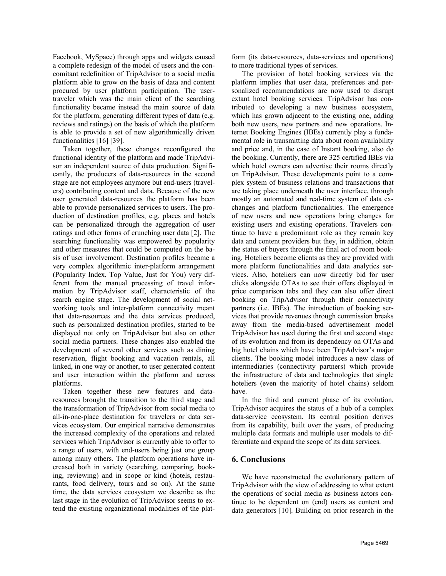Facebook, MySpace) through apps and widgets caused a complete redesign of the model of users and the concomitant redefinition of TripAdvisor to a social media platform able to grow on the basis of data and content procured by user platform participation. The usertraveler which was the main client of the searching functionality became instead the main source of data for the platform, generating different types of data (e.g. reviews and ratings) on the basis of which the platform is able to provide a set of new algorithmically driven functionalities [16] [39].

Taken together, these changes reconfigured the functional identity of the platform and made TripAdvisor an independent source of data production. Significantly, the producers of data-resources in the second stage are not employees anymore but end-users (travelers) contributing content and data. Because of the new user generated data-resources the platform has been able to provide personalized services to users. The production of destination profiles, e.g. places and hotels can be personalized through the aggregation of user ratings and other forms of crunching user data [2]. The searching functionality was empowered by popularity and other measures that could be computed on the basis of user involvement. Destination profiles became a very complex algorithmic inter-platform arrangement (Popularity Index, Top Value, Just for You) very different from the manual processing of travel information by TripAdvisor staff, characteristic of the search engine stage. The development of social networking tools and inter-platform connectivity meant that data-resources and the data services produced, such as personalized destination profiles, started to be displayed not only on TripAdvisor but also on other social media partners. These changes also enabled the development of several other services such as dining reservation, flight booking and vacation rentals, all linked, in one way or another, to user generated content and user interaction within the platform and across platforms.

Taken together these new features and dataresources brought the transition to the third stage and the transformation of TripAdvisor from social media to all-in-one-place destination for travelers or data services ecosystem. Our empirical narrative demonstrates the increased complexity of the operations and related services which TripAdvisor is currently able to offer to a range of users, with end-users being just one group among many others. The platform operations have increased both in variety (searching, comparing, booking, reviewing) and in scope or kind (hotels, restaurants, food delivery, tours and so on). At the same time, the data services ecosystem we describe as the last stage in the evolution of TripAdvisor seems to extend the existing organizational modalities of the plat-

form (its data-resources, data-services and operations) to more traditional types of services.

The provision of hotel booking services via the platform implies that user data, preferences and personalized recommendations are now used to disrupt extant hotel booking services. TripAdvisor has contributed to developing a new business ecosystem, which has grown adjacent to the existing one, adding both new users, new partners and new operations. Internet Booking Engines (IBEs) currently play a fundamental role in transmitting data about room availability and price and, in the case of Instant booking, also do the booking. Currently, there are 325 certified IBEs via which hotel owners can advertise their rooms directly on TripAdvisor. These developments point to a complex system of business relations and transactions that are taking place underneath the user interface, through mostly an automated and real-time system of data exchanges and platform functionalities. The emergence of new users and new operations bring changes for existing users and existing operations. Travelers continue to have a predominant role as they remain key data and content providers but they, in addition, obtain the status of buyers through the final act of room booking. Hoteliers become clients as they are provided with more platform functionalities and data analytics services. Also, hoteliers can now directly bid for user clicks alongside OTAs to see their offers displayed in price comparison tabs and they can also offer direct booking on TripAdvisor through their connectivity partners (i.e. IBEs). The introduction of booking services that provide revenues through commission breaks away from the media-based advertisement model TripAdvisor has used during the first and second stage of its evolution and from its dependency on OTAs and big hotel chains which have been TripAdvisor's major clients. The booking model introduces a new class of intermediaries (connectivity partners) which provide the infrastructure of data and technologies that single hoteliers (even the majority of hotel chains) seldom have.

In the third and current phase of its evolution, TripAdvisor acquires the status of a hub of a complex data-service ecosystem. Its central position derives from its capability, built over the years, of producing multiple data formats and multiple user models to differentiate and expand the scope of its data services.

### **6. Conclusions**

We have reconstructed the evolutionary pattern of TripAdvisor with the view of addressing to what extent the operations of social media as business actors continue to be dependent on (end) users as content and data generators [10]. Building on prior research in the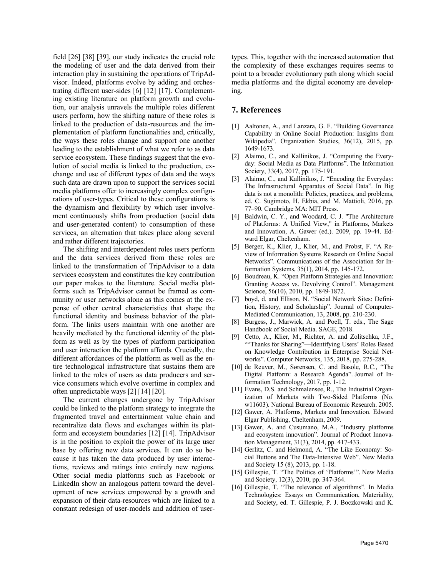field [26] [38] [39], our study indicates the crucial role the modeling of user and the data derived from their interaction play in sustaining the operations of TripAdvisor. Indeed, platforms evolve by adding and orchestrating different user-sides [6] [12] [17]. Complementing existing literature on platform growth and evolution, our analysis unravels the multiple roles different users perform, how the shifting nature of these roles is linked to the production of data-resources and the implementation of platform functionalities and, critically, the ways these roles change and support one another leading to the establishment of what we refer to as data service ecosystem. These findings suggest that the evolution of social media is linked to the production, exchange and use of different types of data and the ways such data are drawn upon to support the services social media platforms offer to increasingly complex configurations of user-types. Critical to these configurations is the dynamism and flexibility by which user involvement continuously shifts from production (social data and user-generated content) to consumption of these services, an alternation that takes place along several and rather different trajectories.

The shifting and interdependent roles users perform and the data services derived from these roles are linked to the transformation of TripAdvisor to a data services ecosystem and constitutes the key contribution our paper makes to the literature. Social media platforms such as TripAdvisor cannot be framed as community or user networks alone as this comes at the expense of other central characteristics that shape the functional identity and business behavior of the platform. The links users maintain with one another are heavily mediated by the functional identity of the platform as well as by the types of platform participation and user interaction the platform affords. Crucially, the different affordances of the platform as well as the entire technological infrastructure that sustains them are linked to the roles of users as data producers and service consumers which evolve overtime in complex and often unpredictable ways [2] [14] [20].

The current changes undergone by TripAdvisor could be linked to the platform strategy to integrate the fragmented travel and entertainment value chain and recentralize data flows and exchanges within its platform and ecosystem boundaries [12] [14]. TripAdvisor is in the position to exploit the power of its large user base by offering new data services. It can do so because it has taken the data produced by user interactions, reviews and ratings into entirely new regions. Other social media platforms such as Facebook or LinkedIn show an analogous pattern toward the development of new services empowered by a growth and expansion of their data-resources which are linked to a constant redesign of user-models and addition of usertypes. This, together with the increased automation that the complexity of these exchanges requires seems to point to a broader evolutionary path along which social media platforms and the digital economy are developing.

## **7. References**

- [1] Aaltonen, A., and Lanzara, G. F. "Building Governance" Capability in Online Social Production: Insights from Wikipedia". Organization Studies, 36(12), 2015, pp. 1649-1673.
- [2] Alaimo, C., and Kallinikos, J. "Computing the Everyday: Social Media as Data Platforms". The Information Society, 33(4), 2017, pp. 175-191.
- [3] Alaimo, C., and Kallinikos, J. "Encoding the Everyday: The Infrastructural Apparatus of Social Data". In Big data is not a monolith: Policies, practices, and problems, ed. C. Sugimoto, H. Ekbia, and M. Mattioli, 2016, pp. 77–90. Cambridge MA: MIT Press.
- [4] Baldwin, C. Y., and Woodard, C. J. "The Architecture of Platforms: A Unified View," in Platforms, Markets and Innovation, A. Gawer (ed.). 2009, pp. 19-44. Edward Elgar, Cheltenham.
- [5] Berger, K., Klier, J., Klier, M., and Probst, F. "A Review of Information Systems Research on Online Social Networks". Communications of the Association for Information Systems, 35(1), 2014, pp. 145-172.
- [6] Boudreau, K. "Open Platform Strategies and Innovation: Granting Access vs. Devolving Control". Management Science, 56(10), 2010, pp. 1849-1872.
- [7] boyd, d. and Ellison, N. "Social Network Sites: Definition, History, and Scholarship". Journal of Computer-Mediated Communication, 13, 2008, pp. 210-230.
- [8] Burgess, J., Marwick, A. and Poell, T. eds., The Sage Handbook of Social Media. SAGE, 2018.
- [9] Cetto, A., Klier, M., Richter, A. and Zolitschka, J.F., ""Thanks for Sharing"—Identifying Users' Roles Based on Knowledge Contribution in Enterprise Social Networks". Computer Networks, 135, 2018, pp. 275-288.
- [10] de Reuver, M., Sørensen, C. and Basole, R.C., "The Digital Platform: a Research Agenda". Journal of Information Technology, 2017, pp. 1-12.
- [11] Evans, D.S. and Schmalensee, R., The Industrial Organization of Markets with Two-Sided Platforms (No. w11603). National Bureau of Economic Research. 2005.
- [12] Gawer, A. Platforms, Markets and Innovation. Edward Elgar Publishing, Cheltenham, 2009.
- [13] Gawer, A. and Cusumano, M.A., "Industry platforms and ecosystem innovation". Journal of Product Innovation Management, 31(3), 2014, pp. 417-433.
- [14] Gerlitz, C. and Helmond, A. "The Like Economy: Social Buttons and The Data-Intensive Web". New Media and Society 15 (8), 2013, pp. 1-18.
- [15] Gillespie, T. "The Politics of 'Platforms'". New Media and Society, 12(3), 2010, pp. 347-364.
- [16] Gillespie, T. "The relevance of algorithms". In Media Technologies: Essays on Communication, Materiality, and Society, ed. T. Gillespie, P. J. Boczkowski and K.